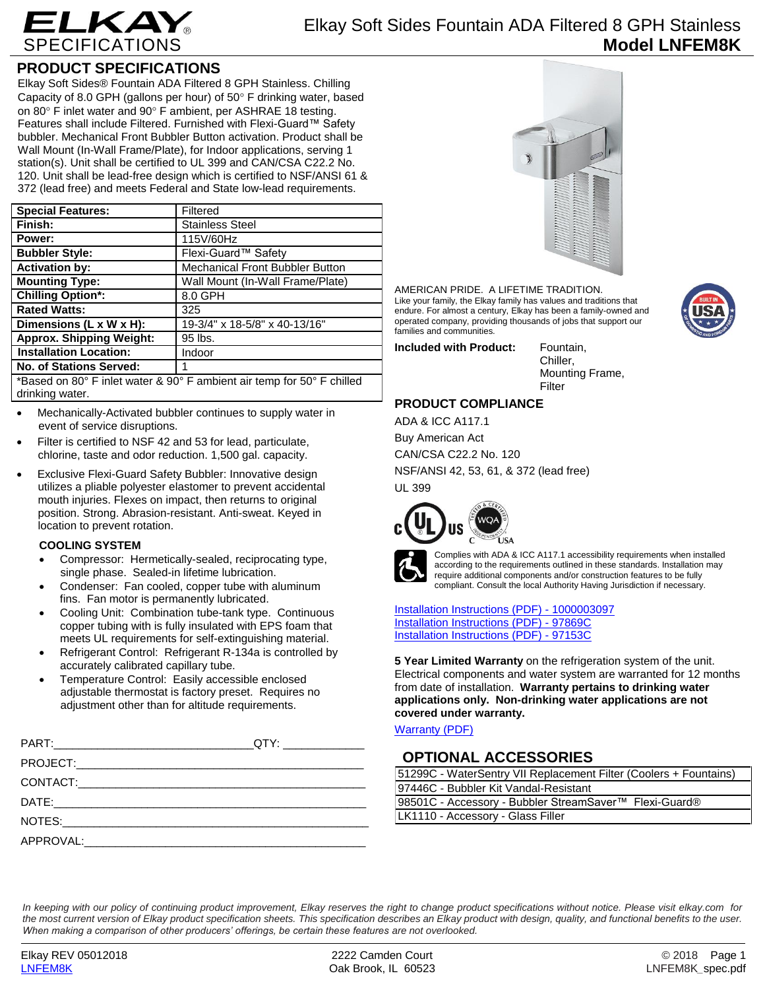

### **PRODUCT SPECIFICATIONS**

Elkay Soft Sides® Fountain ADA Filtered 8 GPH Stainless. Chilling Capacity of 8.0 GPH (gallons per hour) of  $50^\circ$  F drinking water, based on 80 $\degree$  F inlet water and 90 $\degree$  F ambient, per ASHRAE 18 testing. Features shall include Filtered. Furnished with Flexi-Guard™ Safety bubbler. Mechanical Front Bubbler Button activation. Product shall be Wall Mount (In-Wall Frame/Plate), for Indoor applications, serving 1 station(s). Unit shall be certified to UL 399 and CAN/CSA C22.2 No. 120. Unit shall be lead-free design which is certified to NSF/ANSI 61 & 372 (lead free) and meets Federal and State low-lead requirements.

| <b>Special Features:</b>                                               | Filtered                         |  |
|------------------------------------------------------------------------|----------------------------------|--|
| Finish:                                                                | <b>Stainless Steel</b>           |  |
| Power:                                                                 | 115V/60Hz                        |  |
| <b>Bubbler Style:</b>                                                  | Flexi-Guard™ Safety              |  |
| <b>Activation by:</b>                                                  | Mechanical Front Bubbler Button  |  |
| <b>Mounting Type:</b>                                                  | Wall Mount (In-Wall Frame/Plate) |  |
| <b>Chilling Option*:</b>                                               | 8.0 GPH                          |  |
| <b>Rated Watts:</b>                                                    | 325                              |  |
| Dimensions (L x W x H):                                                | 19-3/4" x 18-5/8" x 40-13/16"    |  |
| <b>Approx. Shipping Weight:</b>                                        | 95 lbs.                          |  |
| <b>Installation Location:</b>                                          | Indoor                           |  |
| No. of Stations Served:                                                |                                  |  |
| *Based on 80° F inlet water & 90° F ambient air temp for 50° F chilled |                                  |  |

drinking water.

- Mechanically-Activated bubbler continues to supply water in event of service disruptions.
- Filter is certified to NSF 42 and 53 for lead, particulate, chlorine, taste and odor reduction. 1,500 gal. capacity.
- Exclusive Flexi-Guard Safety Bubbler: Innovative design utilizes a pliable polyester elastomer to prevent accidental mouth injuries. Flexes on impact, then returns to original position. Strong. Abrasion-resistant. Anti-sweat. Keyed in location to prevent rotation.

#### **COOLING SYSTEM**

- Compressor: Hermetically-sealed, reciprocating type, single phase. Sealed-in lifetime lubrication.
- Condenser: Fan cooled, copper tube with aluminum fins. Fan motor is permanently lubricated.
- Cooling Unit: Combination tube-tank type. Continuous copper tubing with is fully insulated with EPS foam that meets UL requirements for self-extinguishing material.
- Refrigerant Control: Refrigerant R-134a is controlled by accurately calibrated capillary tube.
- Temperature Control: Easily accessible enclosed adjustable thermostat is factory preset. Requires no adjustment other than for altitude requirements.



AMERICAN PRIDE. A LIFETIME TRADITION. Like your family, the Elkay family has values and traditions that endure. For almost a century, Elkay has been a family-owned and operated company, providing thousands of jobs that support our families and communities.

**Included with Product:** Fountain,

Chiller, Mounting Frame, Filter

### **PRODUCT COMPLIANCE**

ADA & ICC A117.1 Buy American Act CAN/CSA C22.2 No. 120 NSF/ANSI 42, 53, 61, & 372 (lead free) UL 399





Complies with ADA & ICC A117.1 accessibility requirements when installed according to the requirements outlined in these standards. Installation may require additional components and/or construction features to be fully compliant. Consult the local Authority Having Jurisdiction if necessary.

[Installation Instructions \(PDF\) -](http://www.elkay.com/wcsstore/lkdocs/care-cleaning-install-warranty-sheets/1000003097.pdf) 100000309[7](http://www.elkay.com/wcsstore/lkdocs/care-cleaning-install-warranty-sheets/1000003097.pdf) [Installation Instructions \(PDF\) -](http://www.elkay.com/wcsstore/lkdocs/care-cleaning-install-warranty-sheets/97869c.pdf) 97869[C](http://www.elkay.com/wcsstore/lkdocs/care-cleaning-install-warranty-sheets/97869c.pdf) [Installation Instructions \(PDF\) -](http://www.elkay.com/wcsstore/lkdocs/care-cleaning-install-warranty-sheets/97153c.pdf) 97153[C](http://www.elkay.com/wcsstore/lkdocs/care-cleaning-install-warranty-sheets/97153c.pdf)

**5 Year Limited Warranty** on the refrigeration system of the unit. Electrical components and water system are warranted for 12 months from date of installation. **Warranty pertains to drinking water applications only. Non-drinking water applications are not covered under warranty.**

[Warranty](http://www.elkay.com/wcsstore/lkdocs/care-cleaning-install-warranty-sheets/96993c.pdf) (PDF)

### **OPTIONAL ACCESSORIES**

| 51299C - WaterSentry VII Replacement Filter (Coolers + Fountains) |  |
|-------------------------------------------------------------------|--|
| 97446C - Bubbler Kit Vandal-Resistant                             |  |
| 98501C - Accessory - Bubbler StreamSaver™ Flexi-Guard®            |  |
| LK1110 - Accessory - Glass Filler                                 |  |

*In keeping with our policy of continuing product improvement, Elkay reserves the right to change product specifications without notice. Please visit elkay.com for the most current version of Elkay product specification sheets. This specification describes an Elkay product with design, quality, and functional benefits to the user. When making a comparison of other producers' offerings, be certain these features are not overlooked.*

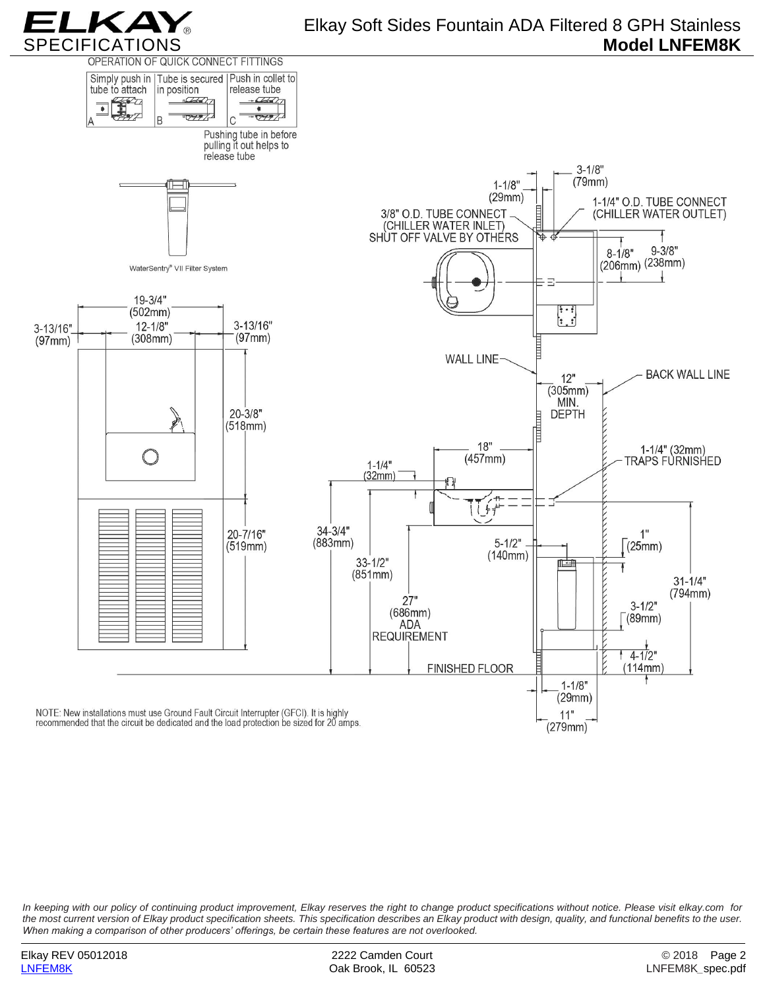

## Elkay Soft Sides Fountain ADA Filtered 8 GPH Stainless **Model LNFEM8K**



*In keeping with our policy of continuing product improvement, Elkay reserves the right to change product specifications without notice. Please visit elkay.com for the most current version of Elkay product specification sheets. This specification describes an Elkay product with design, quality, and functional benefits to the user. When making a comparison of other producers' offerings, be certain these features are not overlooked.*